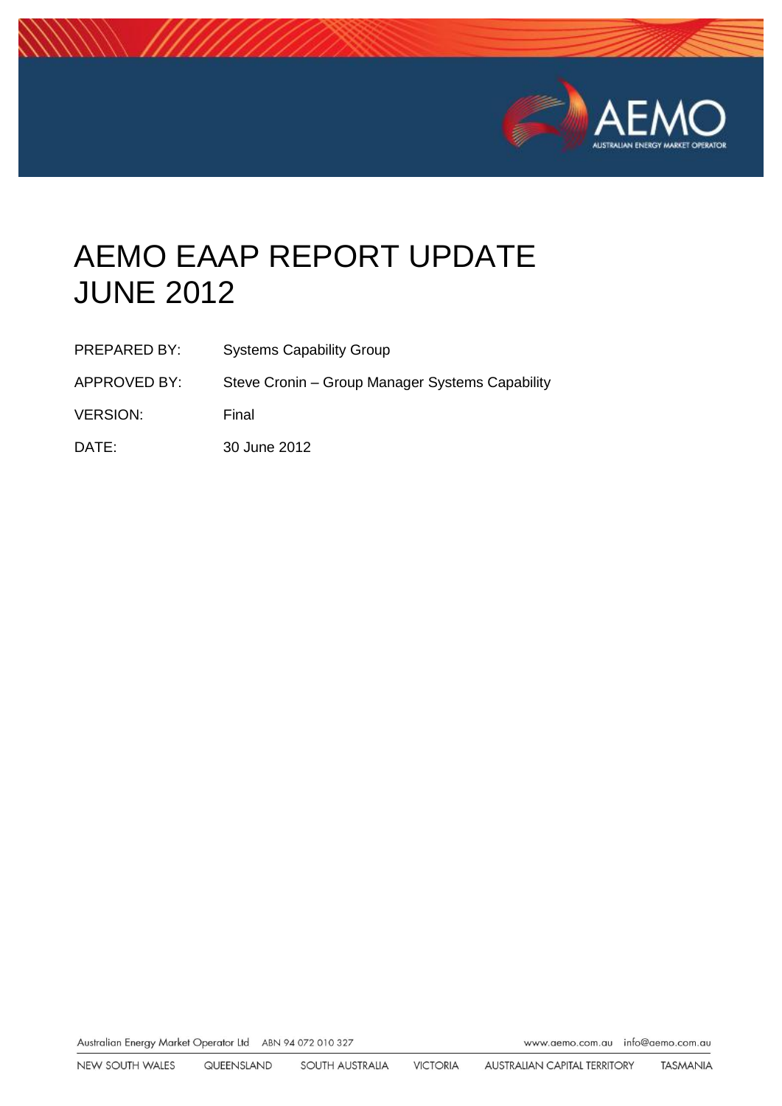

# AEMO EAAP REPORT UPDATE JUNE 2012

| PREPARED BY:    | <b>Systems Capability Group</b>                 |
|-----------------|-------------------------------------------------|
| APPROVED BY:    | Steve Cronin - Group Manager Systems Capability |
| <b>VERSION:</b> | Final                                           |
| DATE:           | 30 June 2012                                    |

Australian Energy Market Operator Ltd ABN 94 072 010 327

www.aemo.com.au info@aemo.com.au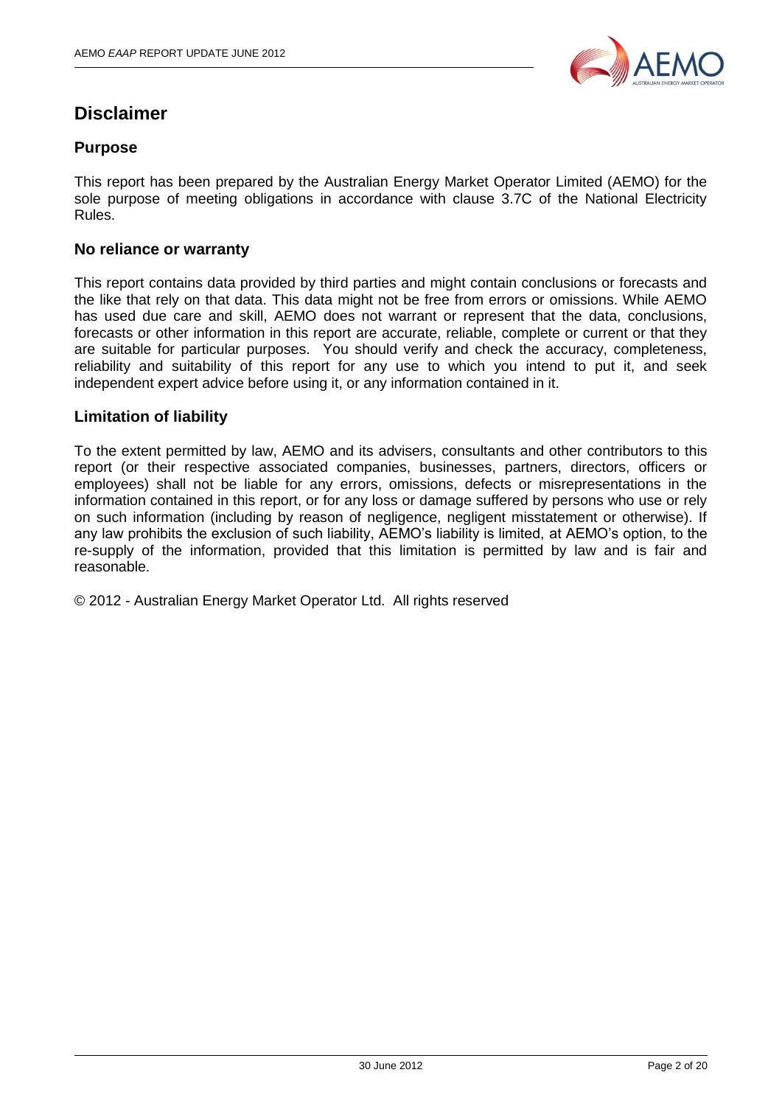

## **Disclaimer**

#### **Purpose**

This report has been prepared by the Australian Energy Market Operator Limited (AEMO) for the sole purpose of meeting obligations in accordance with clause 3.7C of the National Electricity Rules.

#### **No reliance or warranty**

This report contains data provided by third parties and might contain conclusions or forecasts and the like that rely on that data. This data might not be free from errors or omissions. While AEMO has used due care and skill, AEMO does not warrant or represent that the data, conclusions, forecasts or other information in this report are accurate, reliable, complete or current or that they are suitable for particular purposes. You should verify and check the accuracy, completeness, reliability and suitability of this report for any use to which you intend to put it, and seek independent expert advice before using it, or any information contained in it.

#### **Limitation of liability**

To the extent permitted by law, AEMO and its advisers, consultants and other contributors to this report (or their respective associated companies, businesses, partners, directors, officers or employees) shall not be liable for any errors, omissions, defects or misrepresentations in the information contained in this report, or for any loss or damage suffered by persons who use or rely on such information (including by reason of negligence, negligent misstatement or otherwise). If any law prohibits the exclusion of such liability, AEMO's liability is limited, at AEMO's option, to the re-supply of the information, provided that this limitation is permitted by law and is fair and reasonable.

© 2012 - Australian Energy Market Operator Ltd. All rights reserved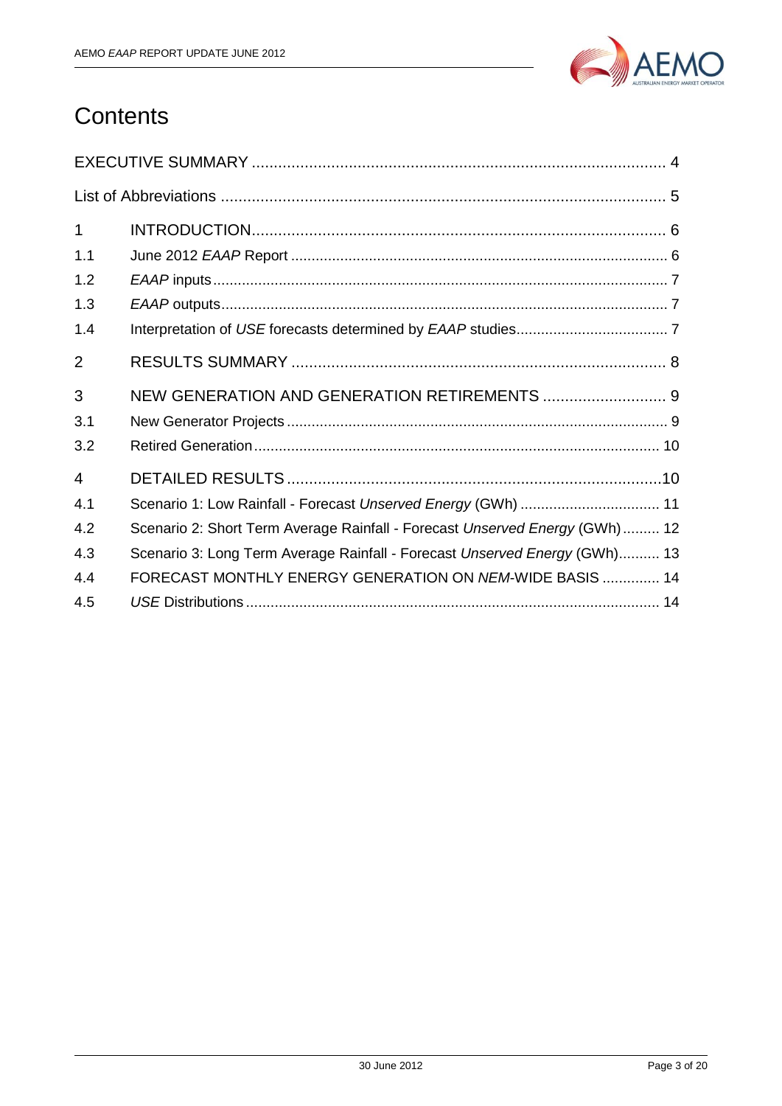

## **Contents**

| $\mathbf 1$    |                                                                             |
|----------------|-----------------------------------------------------------------------------|
| 1.1            |                                                                             |
| 1.2            |                                                                             |
| 1.3            |                                                                             |
| 1.4            |                                                                             |
| $\overline{2}$ |                                                                             |
| 3              | NEW GENERATION AND GENERATION RETIREMENTS  9                                |
| 3.1            |                                                                             |
| 3.2            |                                                                             |
| 4              |                                                                             |
| 4.1            | Scenario 1: Low Rainfall - Forecast Unserved Energy (GWh)  11               |
| 4.2            | Scenario 2: Short Term Average Rainfall - Forecast Unserved Energy (GWh) 12 |
| 4.3            | Scenario 3: Long Term Average Rainfall - Forecast Unserved Energy (GWh) 13  |
| 4.4            | FORECAST MONTHLY ENERGY GENERATION ON NEM-WIDE BASIS  14                    |
| 4.5            |                                                                             |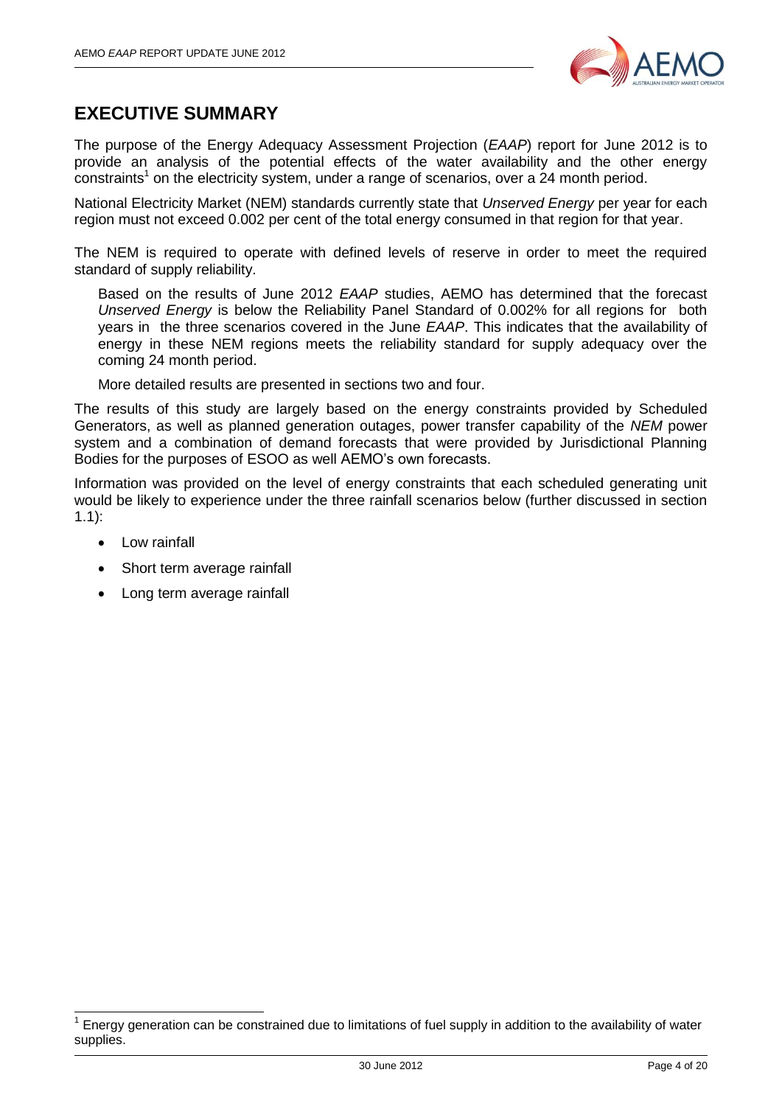

## <span id="page-3-0"></span>**EXECUTIVE SUMMARY**

The purpose of the Energy Adequacy Assessment Projection (*EAAP*) report for June 2012 is to provide an analysis of the potential effects of the water availability and the other energy  $\text{constraints}^1$  on the electricity system, under a range of scenarios, over a 24 month period.

National Electricity Market (NEM) standards currently state that *Unserved Energy* per year for each region must not exceed 0.002 per cent of the total energy consumed in that region for that year.

The NEM is required to operate with defined levels of reserve in order to meet the required standard of supply reliability.

Based on the results of June 2012 *EAAP* studies, AEMO has determined that the forecast *Unserved Energy* is below the Reliability Panel Standard of 0.002% for all regions for both years in the three scenarios covered in the June *EAAP*. This indicates that the availability of energy in these NEM regions meets the reliability standard for supply adequacy over the coming 24 month period.

More detailed results are presented in sections two and four.

The results of this study are largely based on the energy constraints provided by Scheduled Generators, as well as planned generation outages, power transfer capability of the *NEM* power system and a combination of demand forecasts that were provided by Jurisdictional Planning Bodies for the purposes of ESOO as well AEMO's own forecasts.

Information was provided on the level of energy constraints that each scheduled generating unit would be likely to experience under the three rainfall scenarios below (further discussed in section [1.1\)](#page-5-1):

 $\bullet$ Low rainfall

 $\overline{\phantom{a}}$ 

- Short term average rainfall  $\bullet$
- Long term average rainfall

<sup>1</sup> Energy generation can be constrained due to limitations of fuel supply in addition to the availability of water supplies.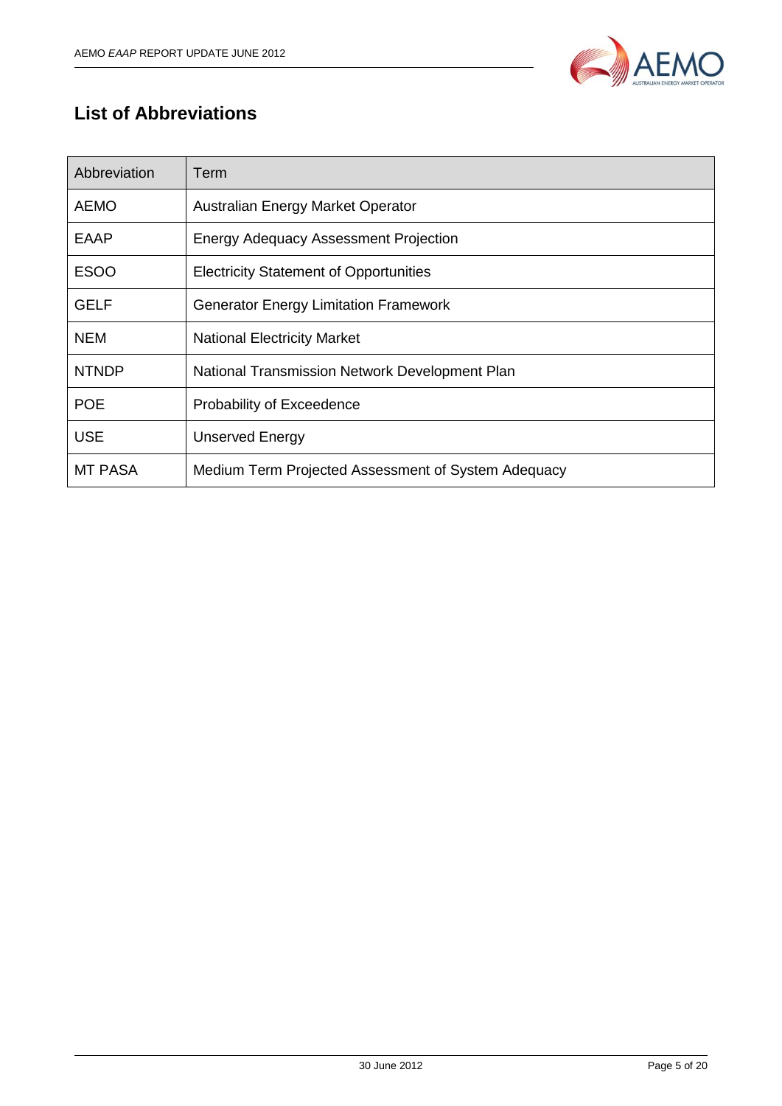

## <span id="page-4-0"></span>**List of Abbreviations**

| Abbreviation   | Term                                                |
|----------------|-----------------------------------------------------|
| <b>AEMO</b>    | Australian Energy Market Operator                   |
| <b>EAAP</b>    | <b>Energy Adequacy Assessment Projection</b>        |
| <b>ESOO</b>    | <b>Electricity Statement of Opportunities</b>       |
| <b>GELF</b>    | <b>Generator Energy Limitation Framework</b>        |
| <b>NEM</b>     | <b>National Electricity Market</b>                  |
| <b>NTNDP</b>   | National Transmission Network Development Plan      |
| <b>POE</b>     | Probability of Exceedence                           |
| <b>USE</b>     | <b>Unserved Energy</b>                              |
| <b>MT PASA</b> | Medium Term Projected Assessment of System Adequacy |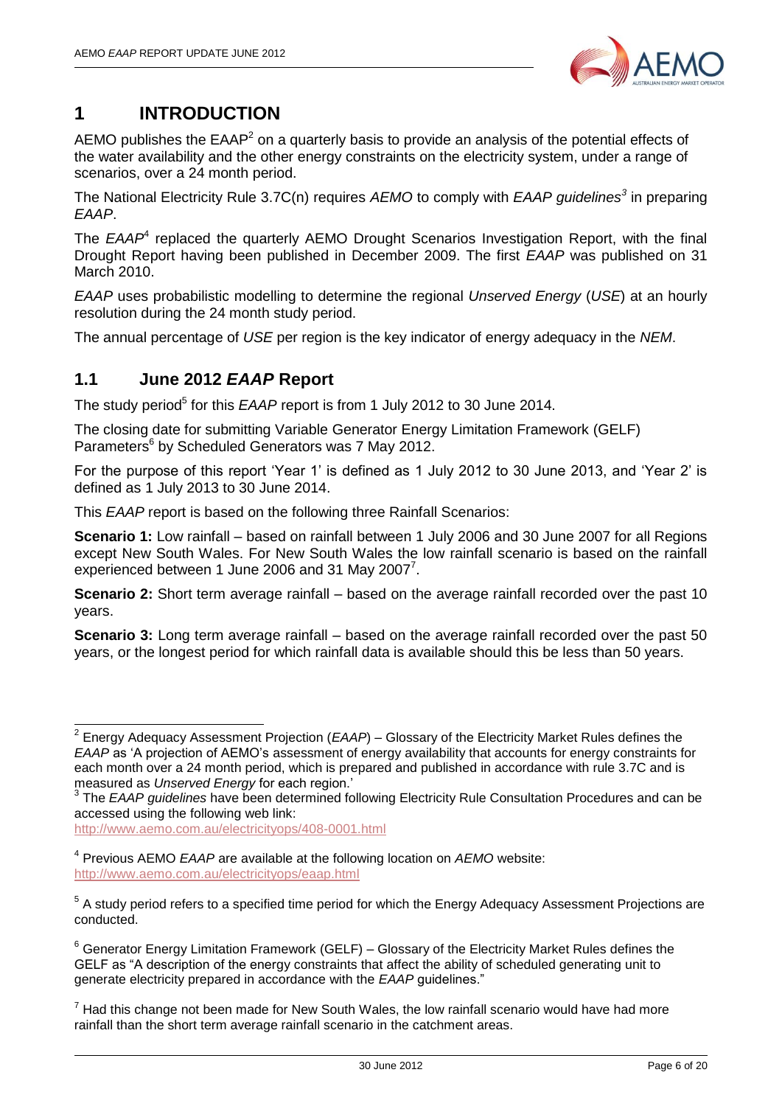

## <span id="page-5-0"></span>**1 INTRODUCTION**

AEMO publishes the  $EAAP<sup>2</sup>$  on a quarterly basis to provide an analysis of the potential effects of the water availability and the other energy constraints on the electricity system, under a range of scenarios, over a 24 month period.

The National Electricity Rule 3.7C(n) requires *AEMO* to comply with *EAAP guidelines<sup>3</sup>* in preparing *EAAP*.

The *EAAP*<sup>4</sup> replaced the quarterly AEMO Drought Scenarios Investigation Report, with the final Drought Report having been published in December 2009. The first *EAAP* was published on 31 March 2010.

*EAAP* uses probabilistic modelling to determine the regional *Unserved Energy* (*USE*) at an hourly resolution during the 24 month study period.

The annual percentage of *USE* per region is the key indicator of energy adequacy in the *NEM*.

#### <span id="page-5-1"></span>**1.1 June 2012** *EAAP* **Report**

The study period<sup>5</sup> for this *EAAP* report is from 1 July 2012 to 30 June 2014.

The closing date for submitting Variable Generator Energy Limitation Framework (GELF) Parameters<sup>6</sup> by Scheduled Generators was 7 May 2012.

For the purpose of this report 'Year 1' is defined as 1 July 2012 to 30 June 2013, and 'Year 2' is defined as 1 July 2013 to 30 June 2014.

This *EAAP* report is based on the following three Rainfall Scenarios:

**Scenario 1:** Low rainfall – based on rainfall between 1 July 2006 and 30 June 2007 for all Regions except New South Wales. For New South Wales the low rainfall scenario is based on the rainfall experienced between 1 June 2006 and 31 May 2007 $^7$ .

**Scenario 2:** Short term average rainfall – based on the average rainfall recorded over the past 10 years.

**Scenario 3:** Long term average rainfall – based on the average rainfall recorded over the past 50 years, or the longest period for which rainfall data is available should this be less than 50 years.

<http://www.aemo.com.au/electricityops/408-0001.html>

 $\overline{\phantom{a}}$ 

<sup>2</sup> Energy Adequacy Assessment Projection (*EAAP*) – Glossary of the Electricity Market Rules defines the *EAAP* as 'A projection of AEMO's assessment of energy availability that accounts for energy constraints for each month over a 24 month period, which is prepared and published in accordance with rule 3.7C and is measured as *Unserved Energy* for each region.'

<sup>&</sup>lt;sup>3</sup> The *EAAP guidelines* have been determined following Electricity Rule Consultation Procedures and can be accessed using the following web link:

<sup>4</sup> Previous AEMO *EAAP* are available at the following location on *AEMO* website: <http://www.aemo.com.au/electricityops/eaap.html>

<sup>&</sup>lt;sup>5</sup> A study period refers to a specified time period for which the Energy Adequacy Assessment Projections are conducted.

 $6$  Generator Energy Limitation Framework (GELF) – Glossary of the Electricity Market Rules defines the GELF as "A description of the energy constraints that affect the ability of scheduled generating unit to generate electricity prepared in accordance with the *EAAP* guidelines."

 $<sup>7</sup>$  Had this change not been made for New South Wales, the low rainfall scenario would have had more</sup> rainfall than the short term average rainfall scenario in the catchment areas.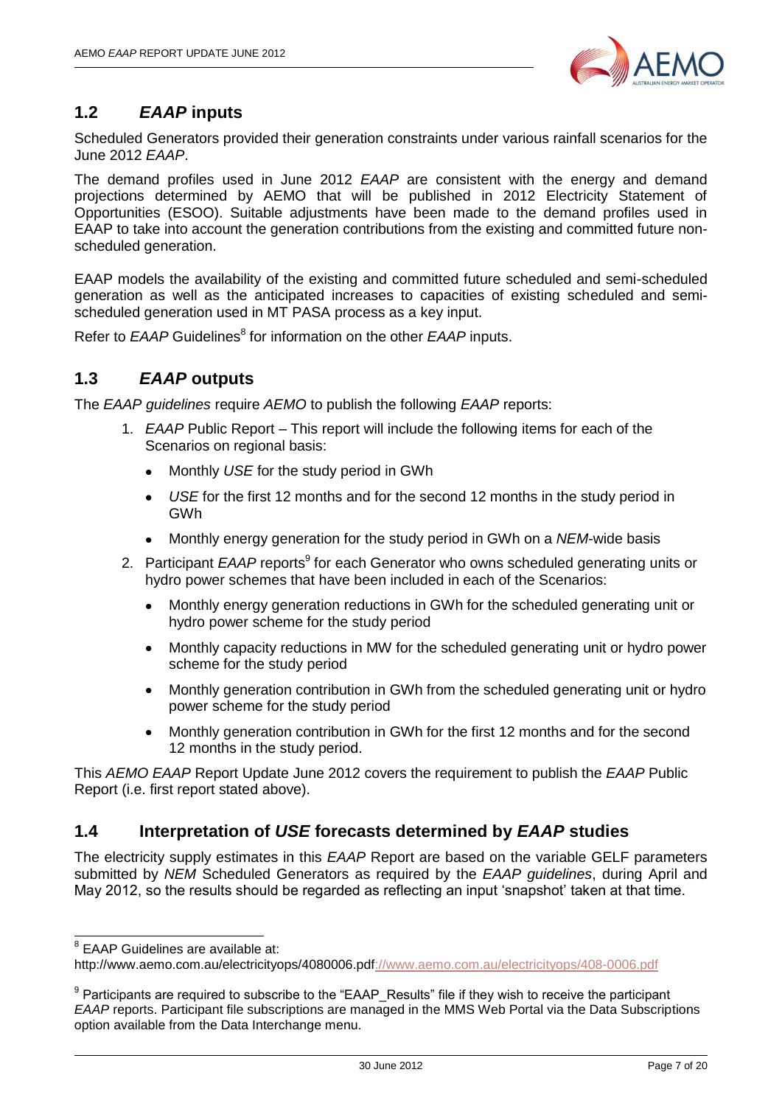

## <span id="page-6-0"></span>**1.2** *EAAP* **inputs**

Scheduled Generators provided their generation constraints under various rainfall scenarios for the June 2012 *EAAP*.

The demand profiles used in June 2012 *EAAP* are consistent with the energy and demand projections determined by AEMO that will be published in 2012 Electricity Statement of Opportunities (ESOO). Suitable adjustments have been made to the demand profiles used in EAAP to take into account the generation contributions from the existing and committed future nonscheduled generation.

EAAP models the availability of the existing and committed future scheduled and semi-scheduled generation as well as the anticipated increases to capacities of existing scheduled and semischeduled generation used in MT PASA process as a key input.

Refer to EAAP Guidelines<sup>8</sup> for information on the other EAAP inputs.

#### <span id="page-6-1"></span>**1.3** *EAAP* **outputs**

The *EAAP guidelines* require *AEMO* to publish the following *EAAP* reports:

- 1. *EAAP* Public Report This report will include the following items for each of the Scenarios on regional basis:
	- Monthly *USE* for the study period in GWh
	- *USE* for the first 12 months and for the second 12 months in the study period in  $\bullet$ GWh
	- Monthly energy generation for the study period in GWh on a *NEM*-wide basis
- 2. Participant *EAAP* reports<sup>9</sup> for each Generator who owns scheduled generating units or hydro power schemes that have been included in each of the Scenarios:
	- Monthly energy generation reductions in GWh for the scheduled generating unit or hydro power scheme for the study period
	- Monthly capacity reductions in MW for the scheduled generating unit or hydro power scheme for the study period
	- Monthly generation contribution in GWh from the scheduled generating unit or hydro power scheme for the study period
	- Monthly generation contribution in GWh for the first 12 months and for the second  $\bullet$ 12 months in the study period.

This *AEMO EAAP* Report Update June 2012 covers the requirement to publish the *EAAP* Public Report (i.e. first report stated above).

#### <span id="page-6-2"></span>**1.4 Interpretation of** *USE* **forecasts determined by** *EAAP* **studies**

The electricity supply estimates in this *EAAP* Report are based on the variable GELF parameters submitted by *NEM* Scheduled Generators as required by the *EAAP guidelines*, during April and May 2012, so the results should be regarded as reflecting an input 'snapshot' taken at that time.

 8 EAAP Guidelines are available at:

[http://www.aemo.com.au/electricityops/4080006.pdf://www.aemo.com.au/electricityops/408-0006.pdf](http://www.aemo.com.au/electricityops/408-0006.pdf)

 $9$  Participants are required to subscribe to the "EAAP\_Results" file if they wish to receive the participant *EAAP* reports. Participant file subscriptions are managed in the MMS Web Portal via the Data Subscriptions option available from the Data Interchange menu.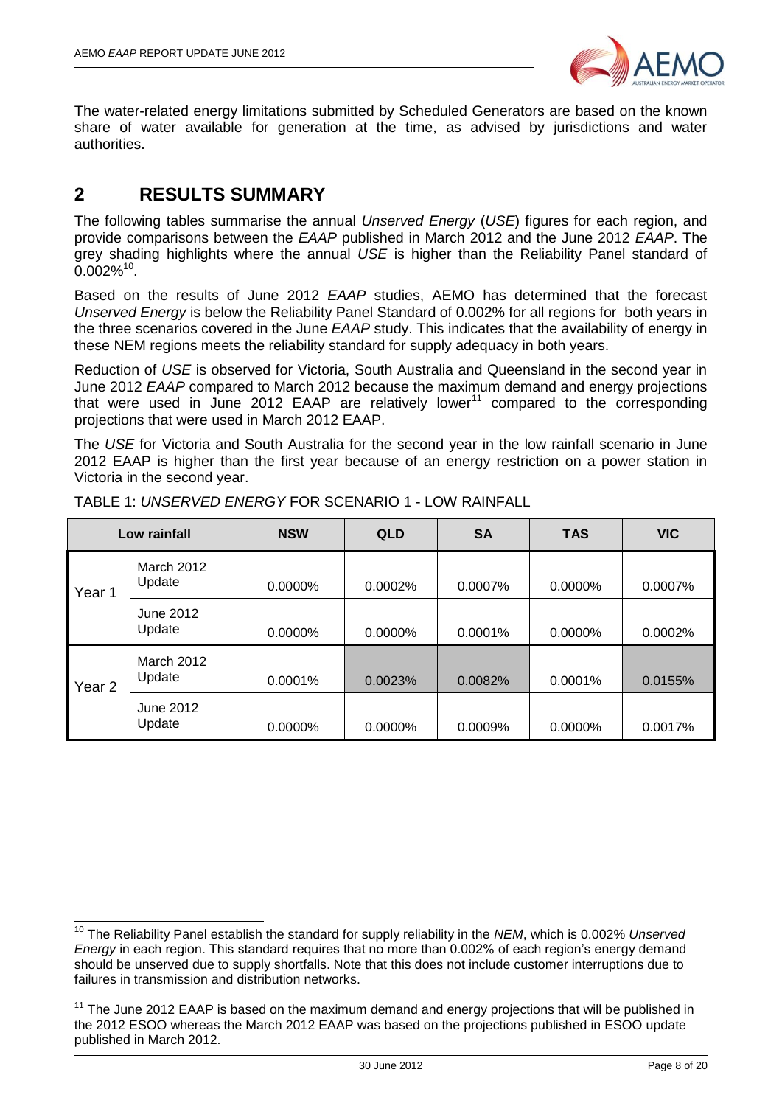

The water-related energy limitations submitted by Scheduled Generators are based on the known share of water available for generation at the time, as advised by jurisdictions and water authorities.

## <span id="page-7-0"></span>**2 RESULTS SUMMARY**

 $\overline{\phantom{a}}$ 

The following tables summarise the annual *Unserved Energy* (*USE*) figures for each region, and provide comparisons between the *EAAP* published in March 2012 and the June 2012 *EAAP*. The grey shading highlights where the annual *USE* is higher than the Reliability Panel standard of  $0.002\%$ <sup>10</sup>.

Based on the results of June 2012 *EAAP* studies, AEMO has determined that the forecast *Unserved Energy* is below the Reliability Panel Standard of 0.002% for all regions for both years in the three scenarios covered in the June *EAAP* study. This indicates that the availability of energy in these NEM regions meets the reliability standard for supply adequacy in both years.

Reduction of *USE* is observed for Victoria, South Australia and Queensland in the second year in June 2012 *EAAP* compared to March 2012 because the maximum demand and energy projections that were used in June 2012 EAAP are relatively lower<sup>11</sup> compared to the corresponding projections that were used in March 2012 EAAP.

The *USE* for Victoria and South Australia for the second year in the low rainfall scenario in June 2012 EAAP is higher than the first year because of an energy restriction on a power station in Victoria in the second year.

|                   | Low rainfall         | <b>NSW</b> | <b>QLD</b> | <b>SA</b> | <b>TAS</b> | <b>VIC</b> |
|-------------------|----------------------|------------|------------|-----------|------------|------------|
| Year 1            | March 2012<br>Update | 0.0000%    | 0.0002%    | 0.0007%   | 0.0000%    | 0.0007%    |
|                   | June 2012<br>Update  | 0.0000%    | 0.0000%    | 0.0001%   | 0.0000%    | 0.0002%    |
| Year <sub>2</sub> | March 2012<br>Update | 0.0001%    | 0.0023%    | 0.0082%   | 0.0001%    | 0.0155%    |
|                   | June 2012<br>Update  | 0.0000%    | $0.0000\%$ | 0.0009%   | 0.0000%    | 0.0017%    |

TABLE 1: *UNSERVED ENERGY* FOR SCENARIO 1 - LOW RAINFALL

<sup>10</sup> The Reliability Panel establish the standard for supply reliability in the *NEM*, which is 0.002% *Unserved Energy* in each region. This standard requires that no more than 0.002% of each region's energy demand should be unserved due to supply shortfalls. Note that this does not include customer interruptions due to failures in transmission and distribution networks.

 $11$  The June 2012 EAAP is based on the maximum demand and energy projections that will be published in the 2012 ESOO whereas the March 2012 EAAP was based on the projections published in ESOO update published in March 2012.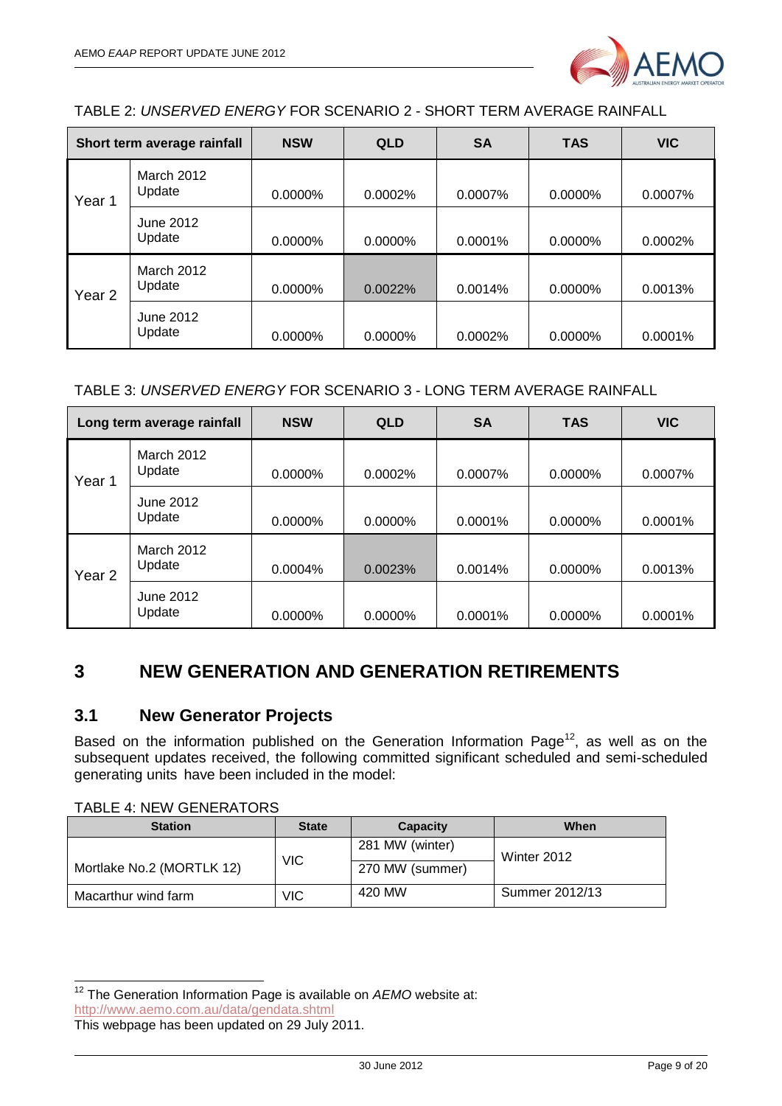

TABLE 2: *UNSERVED ENERGY* FOR SCENARIO 2 - SHORT TERM AVERAGE RAINFALL

| Short term average rainfall |                      | <b>NSW</b> | <b>QLD</b> | <b>SA</b> | <b>TAS</b> | <b>VIC</b> |
|-----------------------------|----------------------|------------|------------|-----------|------------|------------|
| Year 1                      | March 2012<br>Update | $0.0000\%$ | 0.0002%    | 0.0007%   | 0.0000%    | 0.0007%    |
|                             | June 2012<br>Update  | 0.0000%    | 0.0000%    | 0.0001%   | 0.0000%    | 0.0002%    |
| Year <sub>2</sub>           | March 2012<br>Update | 0.0000%    | 0.0022%    | 0.0014%   | 0.0000%    | 0.0013%    |
|                             | June 2012<br>Update  | $0.0000\%$ | $0.0000\%$ | 0.0002%   | $0.0000\%$ | 0.0001%    |

#### TABLE 3: *UNSERVED ENERGY* FOR SCENARIO 3 - LONG TERM AVERAGE RAINFALL

| Long term average rainfall |                      | <b>NSW</b> | <b>QLD</b> | <b>SA</b> | <b>TAS</b> | <b>VIC</b> |
|----------------------------|----------------------|------------|------------|-----------|------------|------------|
| Year 1                     | March 2012<br>Update | 0.0000%    | 0.0002%    | 0.0007%   | $0.0000\%$ | 0.0007%    |
|                            | June 2012<br>Update  | $0.0000\%$ | $0.0000\%$ | 0.0001%   | $0.0000\%$ | $0.0001\%$ |
| Year <sub>2</sub>          | March 2012<br>Update | $0.0004\%$ | 0.0023%    | 0.0014%   | $0.0000\%$ | 0.0013%    |
|                            | June 2012<br>Update  | 0.0000%    | 0.0000%    | 0.0001%   | 0.0000%    | 0.0001%    |

## <span id="page-8-0"></span>**3 NEW GENERATION AND GENERATION RETIREMENTS**

#### <span id="page-8-1"></span>**3.1 New Generator Projects**

Based on the information published on the Generation Information Page<sup>12</sup>, as well as on the subsequent updates received, the following committed significant scheduled and semi-scheduled generating units have been included in the model:

TABLE 4: NEW GENERATORS

| <b>Station</b>            | <b>State</b> | Capacity        | When           |
|---------------------------|--------------|-----------------|----------------|
|                           |              | 281 MW (winter) | Winter 2012    |
| Mortlake No.2 (MORTLK 12) | <b>VIC</b>   | 270 MW (summer) |                |
| Macarthur wind farm       | VIC.         | 420 MW          | Summer 2012/13 |

<sup>-</sup><sup>12</sup> The Generation Information Page is available on AEMO website at: <http://www.aemo.com.au/data/gendata.shtml>

This webpage has been updated on 29 July 2011.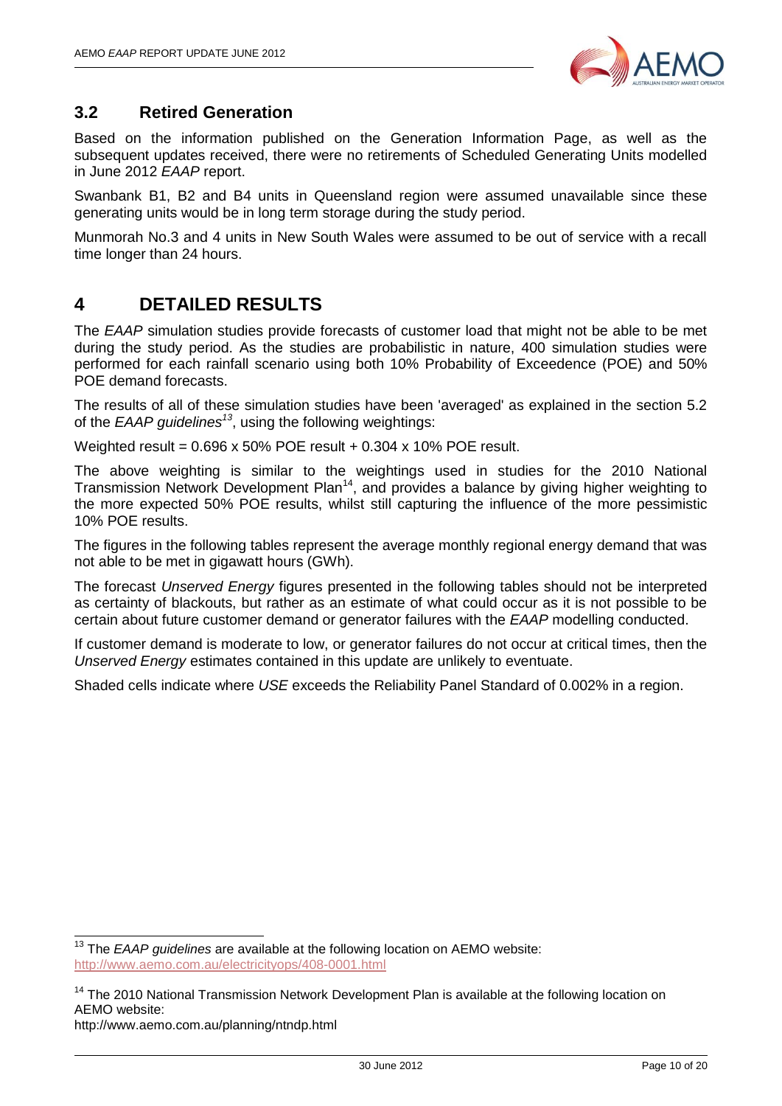

#### <span id="page-9-0"></span>**3.2 Retired Generation**

Based on the information published on the Generation Information Page, as well as the subsequent updates received, there were no retirements of Scheduled Generating Units modelled in June 2012 *EAAP* report.

Swanbank B1, B2 and B4 units in Queensland region were assumed unavailable since these generating units would be in long term storage during the study period.

Munmorah No.3 and 4 units in New South Wales were assumed to be out of service with a recall time longer than 24 hours.

## <span id="page-9-1"></span>**4 DETAILED RESULTS**

The *EAAP* simulation studies provide forecasts of customer load that might not be able to be met during the study period. As the studies are probabilistic in nature, 400 simulation studies were performed for each rainfall scenario using both 10% Probability of Exceedence (POE) and 50% POE demand forecasts.

The results of all of these simulation studies have been 'averaged' as explained in the section 5.2 of the *EAAP guidelines<sup>13</sup>*, using the following weightings:

Weighted result =  $0.696 \times 50\%$  POE result +  $0.304 \times 10\%$  POE result.

The above weighting is similar to the weightings used in studies for the 2010 National Transmission Network Development Plan<sup>14</sup>, and provides a balance by giving higher weighting to the more expected 50% POE results, whilst still capturing the influence of the more pessimistic 10% POE results.

The figures in the following tables represent the average monthly regional energy demand that was not able to be met in gigawatt hours (GWh).

The forecast *Unserved Energy* figures presented in the following tables should not be interpreted as certainty of blackouts, but rather as an estimate of what could occur as it is not possible to be certain about future customer demand or generator failures with the *EAAP* modelling conducted.

If customer demand is moderate to low, or generator failures do not occur at critical times, then the *Unserved Energy* estimates contained in this update are unlikely to eventuate.

Shaded cells indicate where *USE* exceeds the Reliability Panel Standard of 0.002% in a region.

-

<sup>13</sup> The *EAAP guidelines* are available at the following location on AEMO website: <http://www.aemo.com.au/electricityops/408-0001.html>

<sup>&</sup>lt;sup>14</sup> The 2010 National Transmission Network Development Plan is available at the following location on AEMO website:

http://www.aemo.com.au/planning/ntndp.html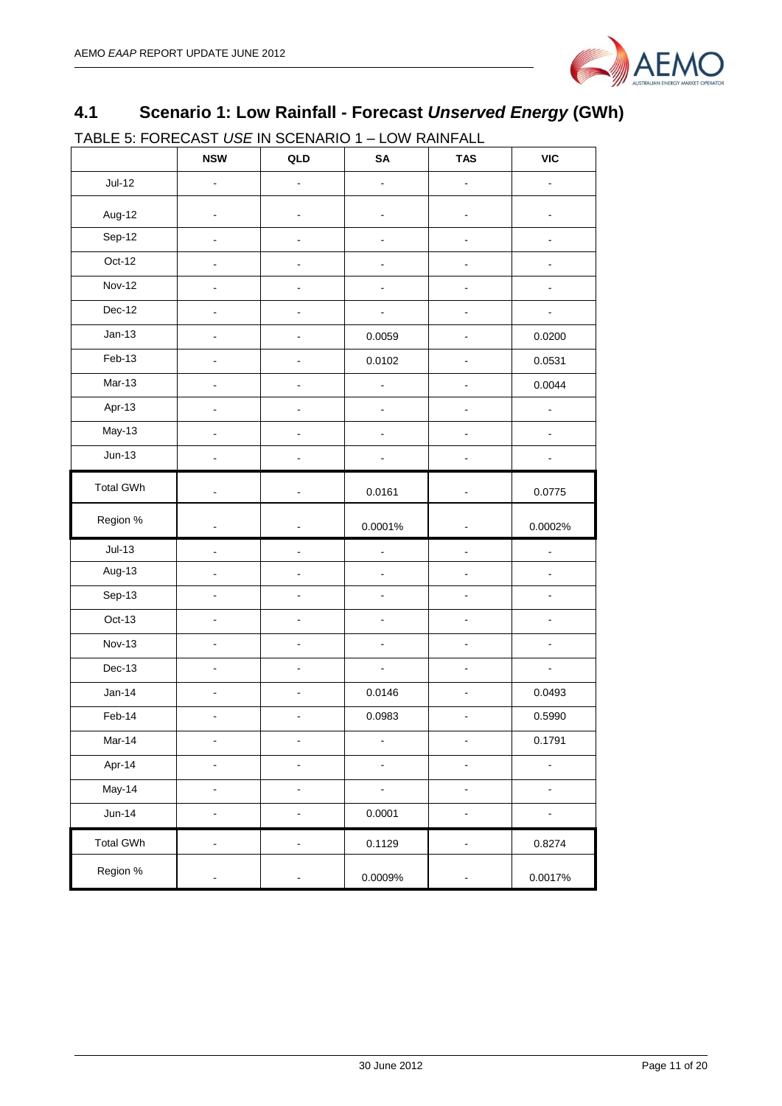

## <span id="page-10-0"></span>**4.1 Scenario 1: Low Rainfall - Forecast** *Unserved Energy* **(GWh)**

TABLE 5: FORECAST *USE* IN SCENARIO 1 – LOW RAINFALL

|                  | <b>NSW</b>                   | QLD                          | SA                           | <b>TAS</b>                   | <b>VIC</b>               |
|------------------|------------------------------|------------------------------|------------------------------|------------------------------|--------------------------|
| $Jul-12$         |                              |                              |                              |                              |                          |
| Aug-12           |                              |                              |                              |                              |                          |
| Sep-12           | $\overline{\phantom{a}}$     | $\ddot{\phantom{0}}$         |                              | $\overline{a}$               |                          |
| Oct-12           | $\overline{a}$               |                              |                              | L,                           |                          |
| <b>Nov-12</b>    | $\blacksquare$               | $\overline{\phantom{a}}$     | $\blacksquare$               | $\blacksquare$               | ä,                       |
| Dec-12           | $\blacksquare$               |                              | $\blacksquare$               | $\overline{\phantom{a}}$     | $\blacksquare$           |
| $Jan-13$         | $\blacksquare$               | $\overline{\phantom{a}}$     | 0.0059                       | $\blacksquare$               | 0.0200                   |
| Feb-13           | $\blacksquare$               | $\overline{\phantom{0}}$     | 0.0102                       | $\blacksquare$               | 0.0531                   |
| Mar-13           | $\blacksquare$               | $\overline{\phantom{0}}$     | $\frac{1}{2}$                | $\blacksquare$               | 0.0044                   |
| Apr-13           | L,                           | $\overline{a}$               | $\overline{a}$               | $\overline{a}$               | ä,                       |
| $May-13$         | ä,                           | $\overline{a}$               | $\overline{a}$               | $\blacksquare$               | ä,                       |
| $Jun-13$         | $\overline{\phantom{0}}$     | $\overline{a}$               | $\qquad \qquad \blacksquare$ | $\blacksquare$               |                          |
| <b>Total GWh</b> | $\blacksquare$               | $\overline{a}$               | 0.0161                       | $\blacksquare$               | 0.0775                   |
| Region %         | $\blacksquare$               | $\overline{a}$               | 0.0001%                      | $\blacksquare$               | 0.0002%                  |
| $Jul-13$         | $\blacksquare$               | $\overline{\phantom{a}}$     | ÷,                           | $\overline{a}$               | $\frac{1}{2}$            |
| Aug-13           | $\blacksquare$               | $\overline{a}$               | $\blacksquare$               | $\blacksquare$               | ä,                       |
| Sep-13           | ä,                           | ÷.                           | $\blacksquare$               | $\tilde{\phantom{a}}$        | ÷.                       |
| Oct-13           | $\blacksquare$               | $\overline{a}$               | ÷,                           | $\blacksquare$               | $\blacksquare$           |
| <b>Nov-13</b>    | $\blacksquare$               | $\overline{a}$               | $\overline{\phantom{a}}$     | $\blacksquare$               | $\blacksquare$           |
| Dec-13           | $\blacksquare$               | $\overline{\phantom{a}}$     | $\Box$                       | $\blacksquare$               | $\blacksquare$           |
| $Jan-14$         | $\blacksquare$               | $\qquad \qquad \blacksquare$ | 0.0146                       | $\blacksquare$               | 0.0493                   |
| Feb-14           | $\blacksquare$               | $\overline{a}$               | 0.0983                       | $\overline{a}$               | 0.5990                   |
| Mar-14           | $\blacksquare$               | $\qquad \qquad \blacksquare$ | $\overline{\phantom{0}}$     | $\blacksquare$               | 0.1791                   |
| Apr-14           | -                            | $\overline{\phantom{a}}$     | $\blacksquare$               | $\blacksquare$               |                          |
| May-14           | $\overline{\phantom{a}}$     | $\overline{a}$               |                              | $\blacksquare$               | $\overline{\phantom{a}}$ |
| $Jun-14$         | $\blacksquare$               | $\overline{\phantom{a}}$     | 0.0001                       | $\blacksquare$               | ÷,                       |
| <b>Total GWh</b> | $\overline{\phantom{a}}$     | $\overline{\phantom{a}}$     | 0.1129                       | $\blacksquare$               | 0.8274                   |
| Region %         | $\qquad \qquad \blacksquare$ | $\overline{\phantom{0}}$     | 0.0009%                      | $\qquad \qquad \blacksquare$ | 0.0017%                  |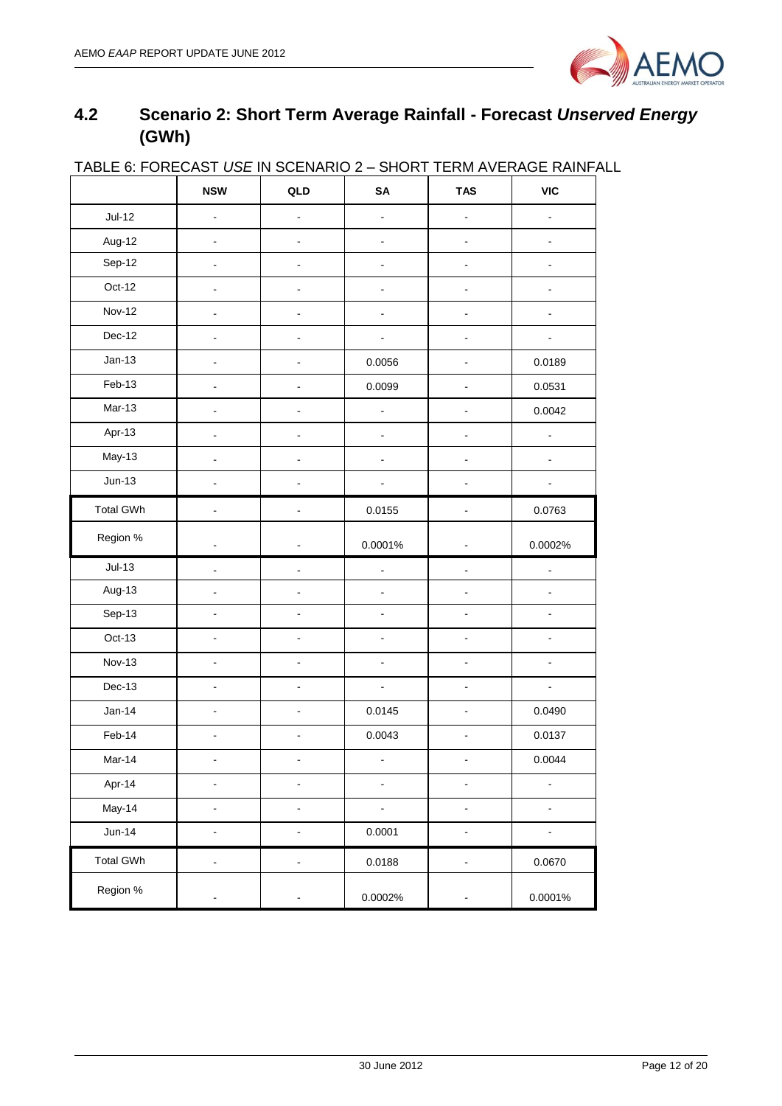

## <span id="page-11-0"></span>**4.2 Scenario 2: Short Term Average Rainfall - Forecast** *Unserved Energy* **(GWh)**

|                  | <b>NSW</b>                   | QLD                          | SA             | <b>TAS</b>                   | VIC                      |
|------------------|------------------------------|------------------------------|----------------|------------------------------|--------------------------|
| $Jul-12$         | $\overline{a}$               |                              |                | $\frac{1}{2}$                |                          |
| Aug-12           |                              |                              |                |                              |                          |
| Sep-12           |                              |                              |                | $\overline{a}$               |                          |
| Oct-12           |                              | $\overline{a}$               |                | ۰                            |                          |
| <b>Nov-12</b>    | $\blacksquare$               | $\overline{a}$               | ÷,             | $\frac{1}{2}$                | L.                       |
| Dec-12           | L,                           | $\blacksquare$               |                | $\blacksquare$               |                          |
| $Jan-13$         | $\frac{1}{2}$                | $\blacksquare$               | 0.0056         | $\blacksquare$               | 0.0189                   |
| Feb-13           | $\overline{a}$               | $\overline{\phantom{0}}$     | 0.0099         | $\frac{1}{2}$                | 0.0531                   |
| $Mar-13$         | $\blacksquare$               | $\overline{\phantom{0}}$     |                | $\blacksquare$               | 0.0042                   |
| Apr-13           | $\frac{1}{2}$                | $\blacksquare$               | $\blacksquare$ | $\blacksquare$               | $\frac{1}{2}$            |
| May-13           | $\blacksquare$               | $\blacksquare$               | $\blacksquare$ | $\blacksquare$               | ä,                       |
| $Jun-13$         | $\overline{a}$               | ÷,                           |                | $\overline{a}$               |                          |
| <b>Total GWh</b> | $\overline{a}$               | $\blacksquare$               | 0.0155         | ä,                           | 0.0763                   |
| Region %         | $\overline{\phantom{a}}$     | $\blacksquare$               | 0.0001%        | $\overline{a}$               | 0.0002%                  |
| $Jul-13$         | ä,                           | $\blacksquare$               | $\blacksquare$ | $\blacksquare$               | $\overline{a}$           |
| Aug-13           |                              | $\blacksquare$               | $\blacksquare$ | ä,                           |                          |
| Sep-13           | $\blacksquare$               | $\blacksquare$               | $\blacksquare$ | L.                           | ä,                       |
| Oct-13           | $\blacksquare$               | $\overline{\phantom{a}}$     | $\blacksquare$ | $\blacksquare$               |                          |
| <b>Nov-13</b>    | $\blacksquare$               | $\blacksquare$               | $\blacksquare$ | $\blacksquare$               | $\overline{\phantom{0}}$ |
| Dec-13           | $\overline{\phantom{a}}$     | $\overline{\phantom{a}}$     | $\blacksquare$ | $\blacksquare$               | $\blacksquare$           |
| $Jan-14$         | $\blacksquare$               | $\qquad \qquad \blacksquare$ | 0.0145         | $\blacksquare$               | 0.0490                   |
| Feb-14           | $\blacksquare$               | $\overline{a}$               | 0.0043         | $\blacksquare$               | 0.0137                   |
| Mar-14           |                              |                              |                |                              | 0.0044                   |
| Apr-14           | $\blacksquare$               | $\qquad \qquad \blacksquare$ | $\blacksquare$ | $\blacksquare$               | $\frac{1}{2}$            |
| May-14           | $\overline{\phantom{a}}$     | $\blacksquare$               | $\blacksquare$ | $\blacksquare$               | ä,                       |
| $Jun-14$         | $\overline{\phantom{a}}$     | $\overline{\phantom{0}}$     | 0.0001         | $\blacksquare$               | $\frac{1}{2}$            |
| <b>Total GWh</b> | $\blacksquare$               | $\frac{1}{2}$                | 0.0188         | $\frac{1}{2}$                | 0.0670                   |
| Region %         | $\qquad \qquad \blacksquare$ | ۰                            | 0.0002%        | $\qquad \qquad \blacksquare$ | 0.0001%                  |

#### TABLE 6: FORECAST *USE* IN SCENARIO 2 – SHORT TERM AVERAGE RAINFALL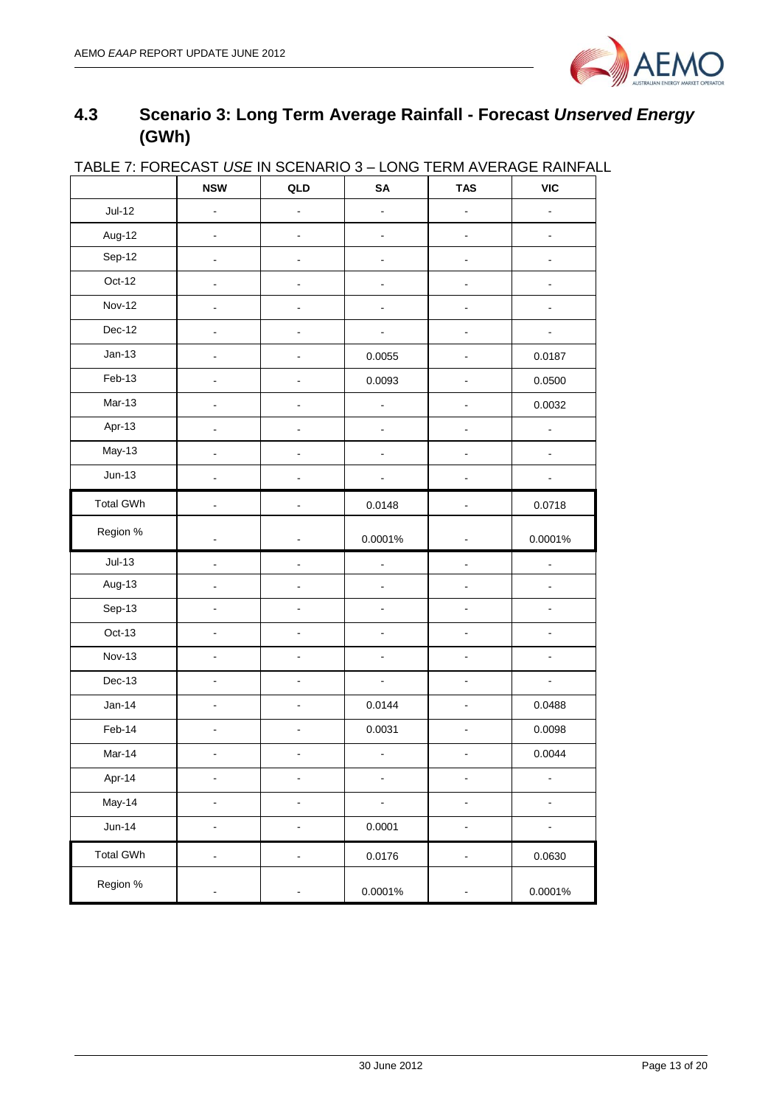

## <span id="page-12-0"></span>**4.3 Scenario 3: Long Term Average Rainfall - Forecast** *Unserved Energy* **(GWh)**

| <u>IADLE I. FUNEUASI USE IN SUENANIU 3 – LUNG TENNI AVENAGE NAINFAL</u> | <b>NSW</b>                   | QLD                          | SA                           | <b>TAS</b>                   | VIC                          |
|-------------------------------------------------------------------------|------------------------------|------------------------------|------------------------------|------------------------------|------------------------------|
| $Jul-12$                                                                | $\overline{\phantom{a}}$     | $\overline{\phantom{0}}$     | $\frac{1}{2}$                | $\overline{\phantom{0}}$     |                              |
| Aug-12                                                                  | $\blacksquare$               | $\blacksquare$               | $\blacksquare$               | ÷,                           | $\qquad \qquad \blacksquare$ |
| Sep-12                                                                  |                              |                              |                              |                              |                              |
| Oct-12                                                                  | $\overline{a}$               | $\overline{a}$               | $\ddot{\phantom{0}}$         | L.                           |                              |
| <b>Nov-12</b>                                                           |                              | L,                           |                              |                              |                              |
| Dec-12                                                                  |                              |                              |                              |                              |                              |
| $Jan-13$                                                                |                              |                              | 0.0055                       |                              | 0.0187                       |
| Feb-13                                                                  |                              |                              | 0.0093                       |                              | 0.0500                       |
| $Mar-13$                                                                |                              |                              | $\blacksquare$               |                              | 0.0032                       |
| Apr-13                                                                  |                              |                              | ÷,                           |                              |                              |
| May-13                                                                  | $\qquad \qquad \blacksquare$ | $\frac{1}{2}$                | $\overline{\phantom{0}}$     | -                            | $\blacksquare$               |
| $Jun-13$                                                                |                              | $\overline{\phantom{0}}$     |                              | $\qquad \qquad \blacksquare$ |                              |
| <b>Total GWh</b>                                                        | $\overline{\phantom{a}}$     | $\blacksquare$               | 0.0148                       | $\frac{1}{2}$                | 0.0718                       |
| Region %                                                                |                              |                              | 0.0001%                      |                              | 0.0001%                      |
| $Jul-13$                                                                | $\blacksquare$               | $\qquad \qquad \blacksquare$ | $\blacksquare$               | $\qquad \qquad \blacksquare$ | ÷,                           |
| Aug-13                                                                  |                              |                              | ÷,                           |                              | ÷.                           |
| Sep-13                                                                  | $\overline{a}$               |                              |                              |                              |                              |
| $Oct-13$                                                                |                              |                              |                              |                              |                              |
| <b>Nov-13</b>                                                           | $\blacksquare$               | ÷,                           | $\blacksquare$               |                              | ÷,                           |
| Dec-13                                                                  |                              |                              | $\blacksquare$               |                              | ÷.                           |
| $Jan-14$                                                                | $\blacksquare$               | ÷,                           | 0.0144                       | L.                           | 0.0488                       |
| Feb-14                                                                  |                              |                              | 0.0031                       |                              | 0.0098                       |
| Mar-14                                                                  |                              |                              | $\qquad \qquad \blacksquare$ |                              | 0.0044                       |
| Apr-14                                                                  | $\qquad \qquad \blacksquare$ | $\overline{\phantom{0}}$     | $\qquad \qquad \blacksquare$ | $\blacksquare$               | ÷,                           |
| May-14                                                                  | $\centerdot$                 | $\blacksquare$               | $\blacksquare$               | $\blacksquare$               | $\qquad \qquad \blacksquare$ |
| $Jun-14$                                                                | $\overline{\phantom{a}}$     | ÷                            | 0.0001                       | ۰                            | -                            |
| <b>Total GWh</b>                                                        | $\frac{1}{2}$                | ۰                            | 0.0176                       | ۰                            | 0.0630                       |
| Region %                                                                | $\overline{\phantom{0}}$     | $\overline{a}$               | 0.0001%                      |                              | 0.0001%                      |

## TABLE 7: FORECAST *USE* IN SCENARIO 3 – LONG TERM AVERAGE RAINFALL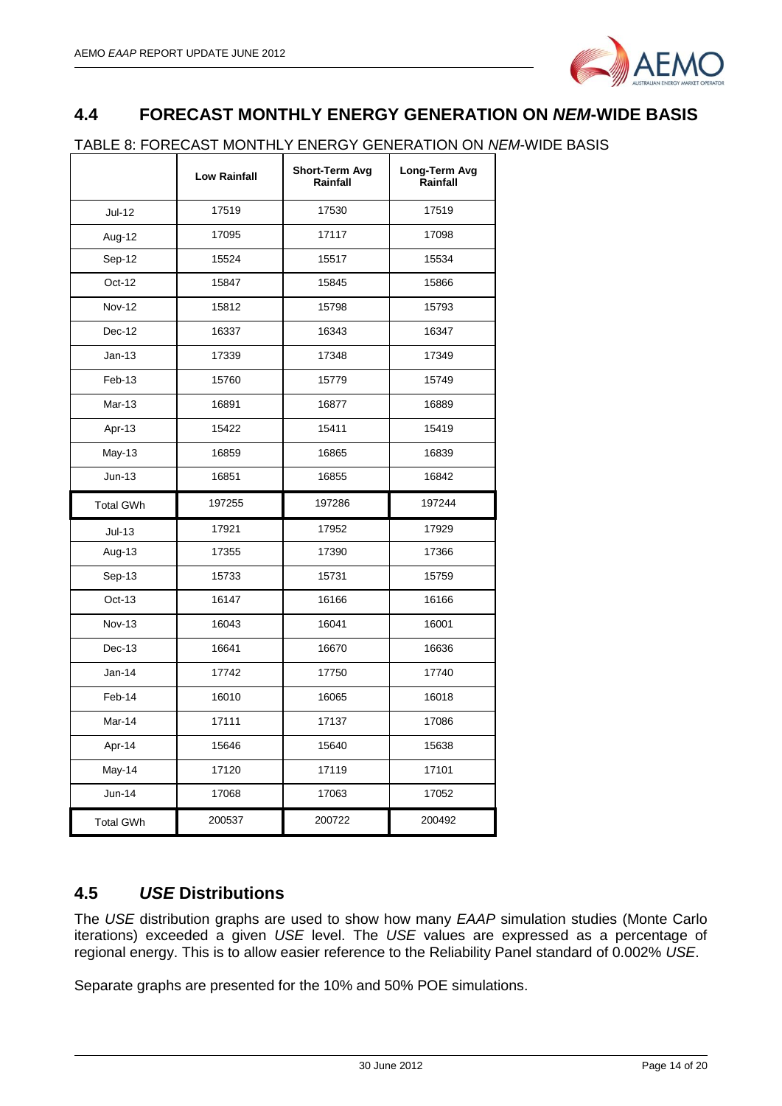

## <span id="page-13-0"></span>**4.4 FORECAST MONTHLY ENERGY GENERATION ON** *NEM***-WIDE BASIS**

#### TABLE 8: FORECAST MONTHLY ENERGY GENERATION ON *NEM*-WIDE BASIS

|                  | <b>Low Rainfall</b> | Short-Term Avg<br>Rainfall | Long-Term Avg<br>Rainfall |
|------------------|---------------------|----------------------------|---------------------------|
| Jul-12           | 17519               | 17530                      | 17519                     |
| Aug-12           | 17095               | 17117                      | 17098                     |
| Sep-12           | 15524               | 15517                      | 15534                     |
| Oct-12           | 15847               | 15845                      | 15866                     |
| <b>Nov-12</b>    | 15812               | 15798                      | 15793                     |
| Dec-12           | 16337               | 16343                      | 16347                     |
| $Jan-13$         | 17339               | 17348                      | 17349                     |
| Feb-13           | 15760               | 15779                      | 15749                     |
| Mar-13           | 16891               | 16877                      | 16889                     |
| Apr-13           | 15422               | 15411                      | 15419                     |
| May-13           | 16859               | 16865                      | 16839                     |
| $Jun-13$         | 16851               | 16855                      | 16842                     |
| <b>Total GWh</b> | 197255              | 197286                     | 197244                    |
| $Jul-13$         | 17921               | 17952                      | 17929                     |
| Aug-13           | 17355               | 17390                      | 17366                     |
| Sep-13           | 15733               | 15731                      | 15759                     |
| Oct-13           | 16147               | 16166                      | 16166                     |
| <b>Nov-13</b>    | 16043               | 16041                      | 16001                     |
| Dec-13           | 16641               | 16670                      | 16636                     |
| $Jan-14$         | 17742               | 17750                      | 17740                     |
| Feb-14           | 16010               | 16065                      | 16018                     |
| Mar-14           | 17111               | 17137                      | 17086                     |
| Apr-14           | 15646               | 15640                      | 15638                     |
| May-14           | 17120               | 17119                      | 17101                     |
| $Jun-14$         | 17068               | 17063                      | 17052                     |
| <b>Total GWh</b> | 200537              | 200722                     | 200492                    |

### <span id="page-13-1"></span>**4.5** *USE* **Distributions**

The *USE* distribution graphs are used to show how many *EAAP* simulation studies (Monte Carlo iterations) exceeded a given *USE* level. The *USE* values are expressed as a percentage of regional energy. This is to allow easier reference to the Reliability Panel standard of 0.002% *USE*.

Separate graphs are presented for the 10% and 50% POE simulations.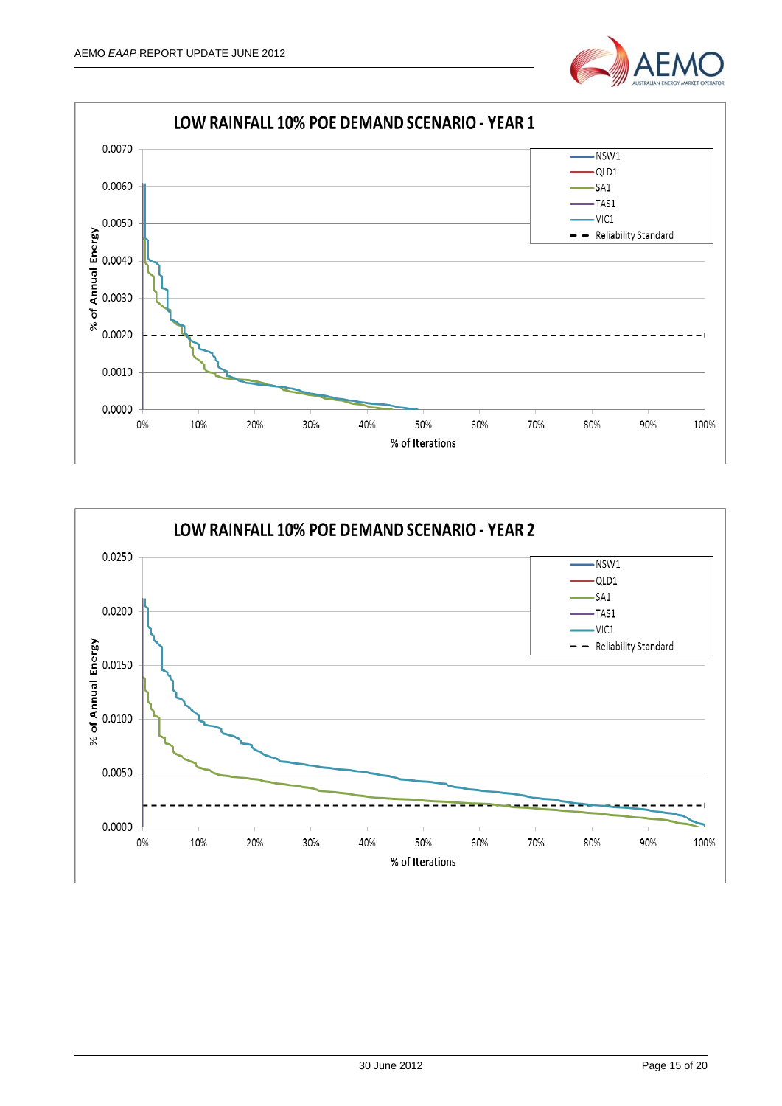



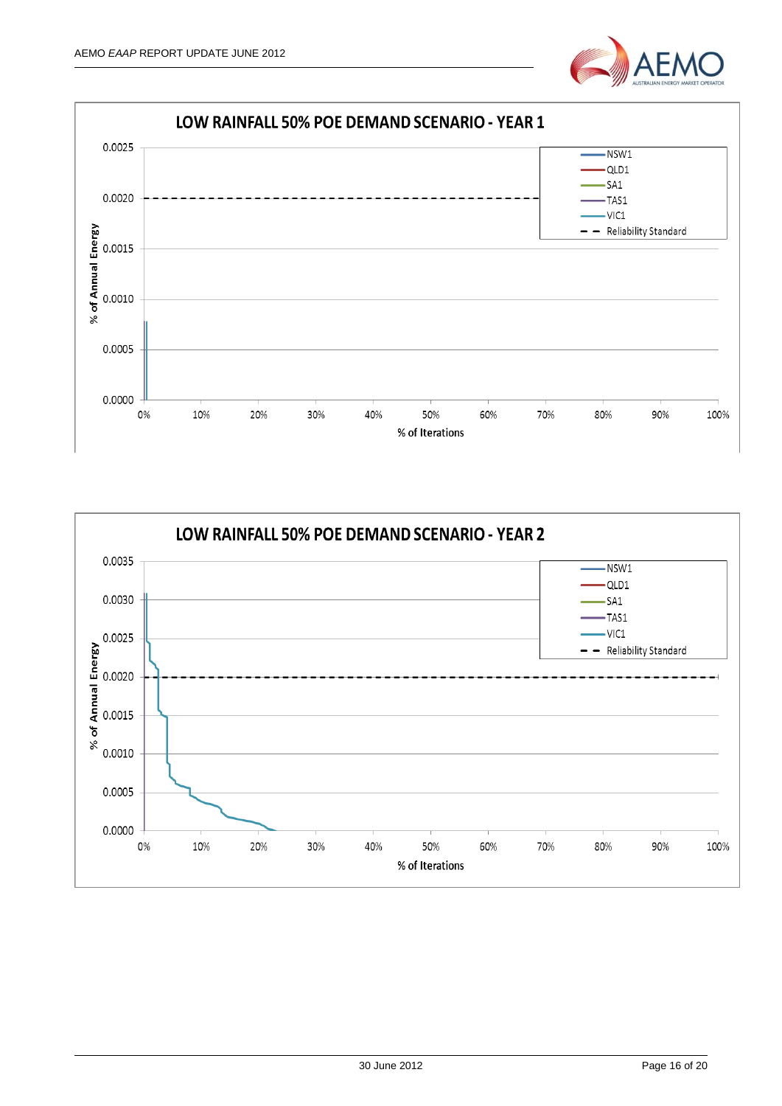



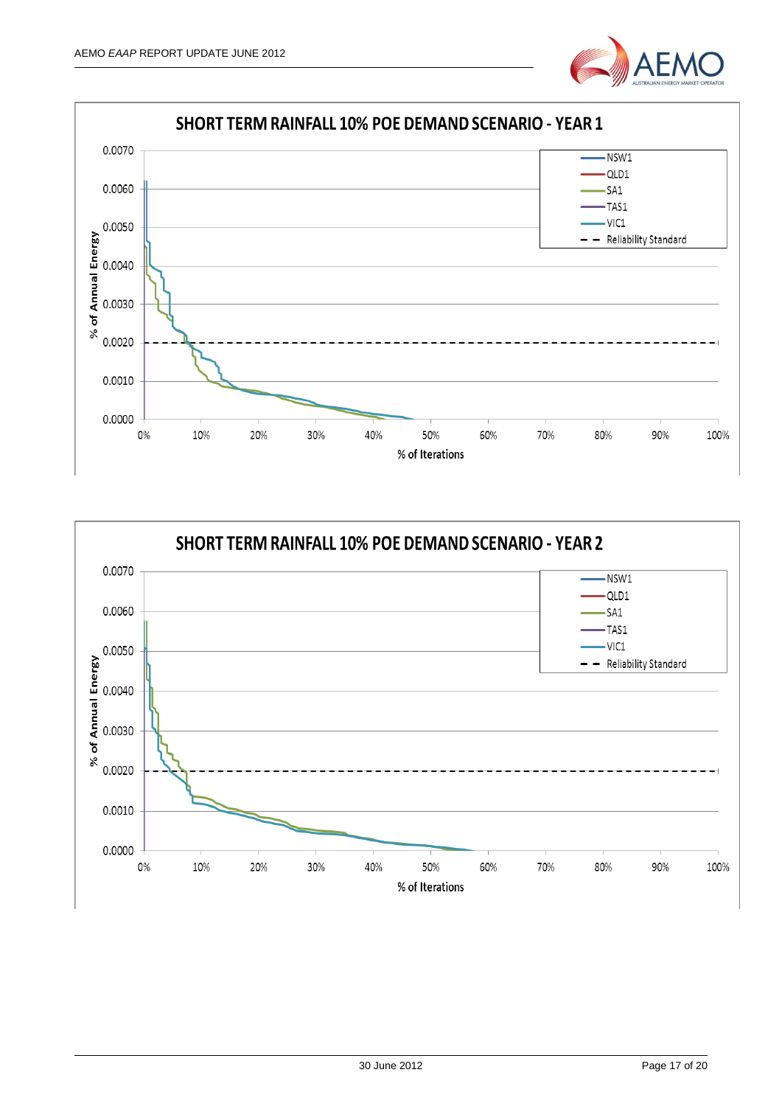



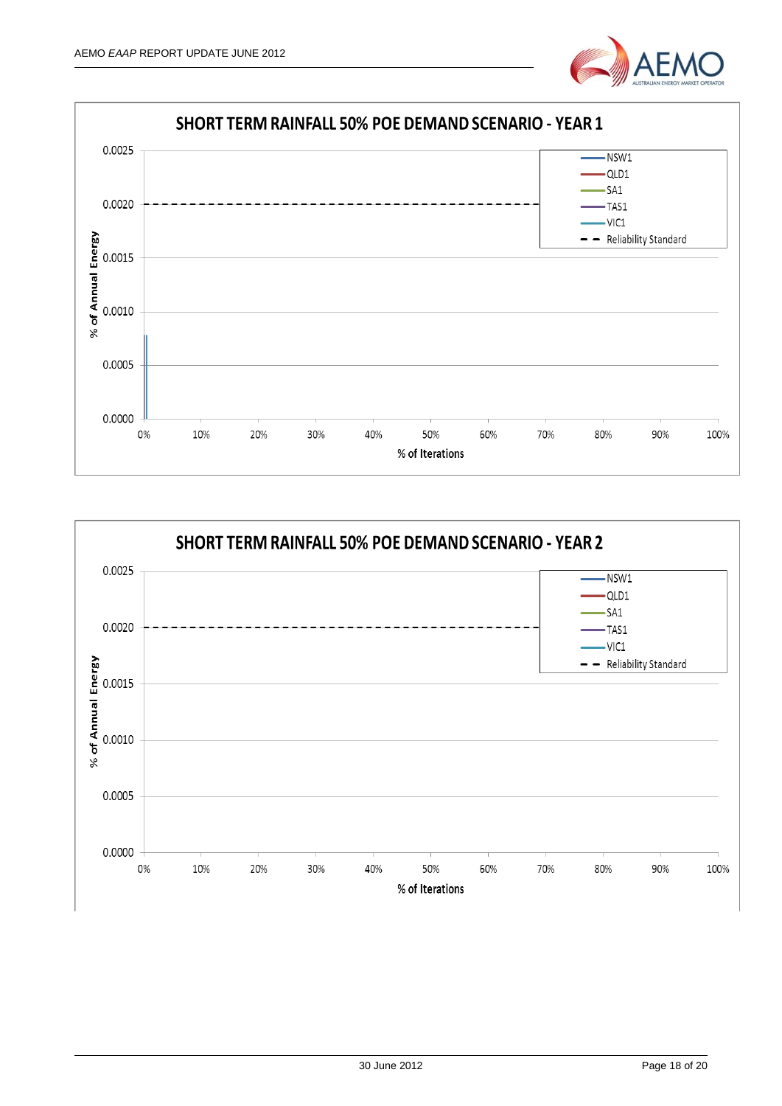



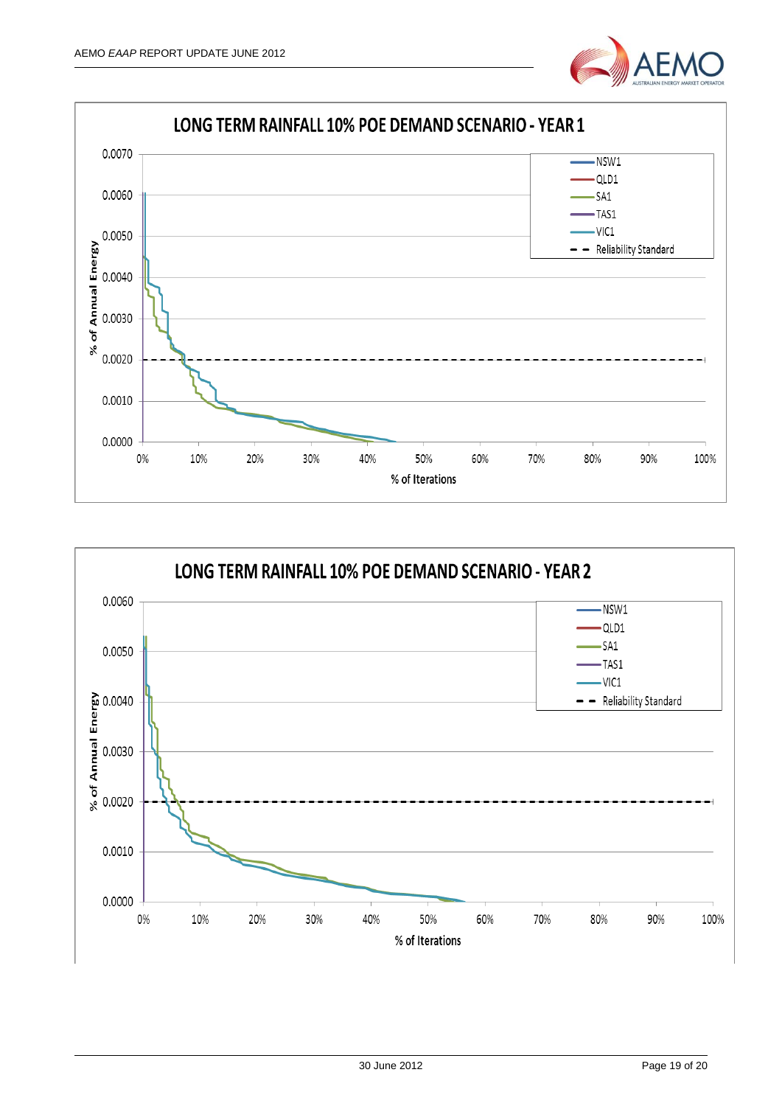